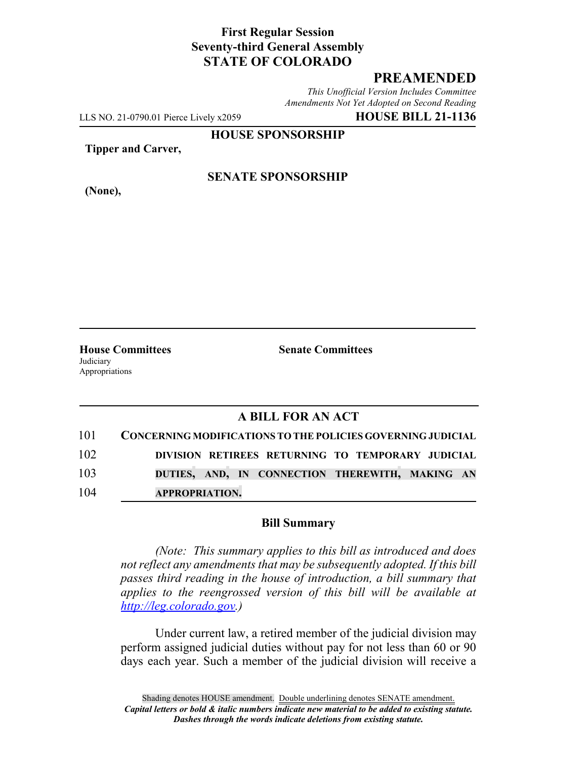# **First Regular Session Seventy-third General Assembly STATE OF COLORADO**

# **PREAMENDED**

*This Unofficial Version Includes Committee Amendments Not Yet Adopted on Second Reading*

LLS NO. 21-0790.01 Pierce Lively x2059 **HOUSE BILL 21-1136**

**HOUSE SPONSORSHIP**

**Tipper and Carver,**

**(None),**

### **SENATE SPONSORSHIP**

**House Committees Senate Committees Judiciary** Appropriations

### **A BILL FOR AN ACT**

| 101 | CONCERNING MODIFICATIONS TO THE POLICIES GOVERNING JUDICIAL |
|-----|-------------------------------------------------------------|
| 102 | DIVISION RETIREES RETURNING TO TEMPORARY JUDICIAL           |
| 103 | DUTIES, AND, IN CONNECTION THEREWITH, MAKING AN             |
| 104 | <b>APPROPRIATION.</b>                                       |

#### **Bill Summary**

*(Note: This summary applies to this bill as introduced and does not reflect any amendments that may be subsequently adopted. If this bill passes third reading in the house of introduction, a bill summary that applies to the reengrossed version of this bill will be available at http://leg.colorado.gov.)*

Under current law, a retired member of the judicial division may perform assigned judicial duties without pay for not less than 60 or 90 days each year. Such a member of the judicial division will receive a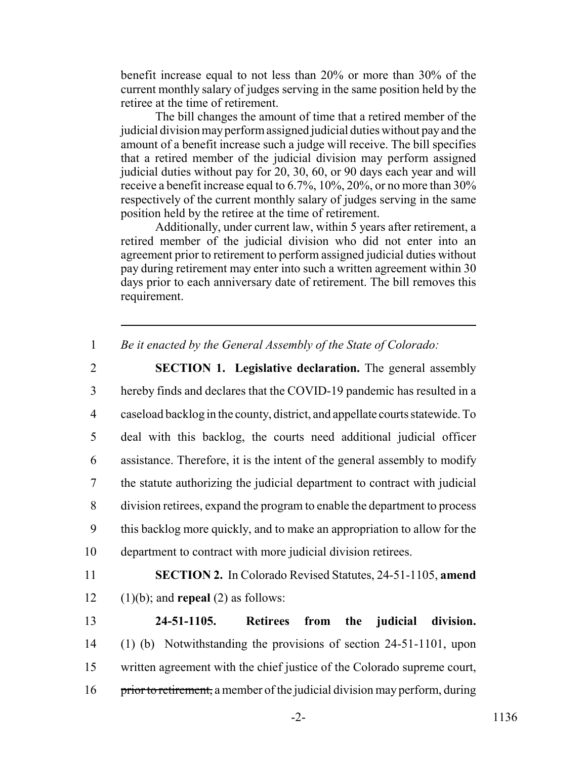benefit increase equal to not less than 20% or more than 30% of the current monthly salary of judges serving in the same position held by the retiree at the time of retirement.

The bill changes the amount of time that a retired member of the judicial division may perform assigned judicial duties without pay and the amount of a benefit increase such a judge will receive. The bill specifies that a retired member of the judicial division may perform assigned judicial duties without pay for 20, 30, 60, or 90 days each year and will receive a benefit increase equal to 6.7%, 10%, 20%, or no more than 30% respectively of the current monthly salary of judges serving in the same position held by the retiree at the time of retirement.

Additionally, under current law, within 5 years after retirement, a retired member of the judicial division who did not enter into an agreement prior to retirement to perform assigned judicial duties without pay during retirement may enter into such a written agreement within 30 days prior to each anniversary date of retirement. The bill removes this requirement.

1 *Be it enacted by the General Assembly of the State of Colorado:*

 **SECTION 1. Legislative declaration.** The general assembly hereby finds and declares that the COVID-19 pandemic has resulted in a caseload backlog in the county, district, and appellate courts statewide. To deal with this backlog, the courts need additional judicial officer assistance. Therefore, it is the intent of the general assembly to modify the statute authorizing the judicial department to contract with judicial division retirees, expand the program to enable the department to process this backlog more quickly, and to make an appropriation to allow for the department to contract with more judicial division retirees.

11 **SECTION 2.** In Colorado Revised Statutes, 24-51-1105, **amend** 12  $(1)(b)$ ; and **repeal**  $(2)$  as follows:

 **24-51-1105. Retirees from the judicial division.** (1) (b) Notwithstanding the provisions of section 24-51-1101, upon written agreement with the chief justice of the Colorado supreme court, 16 prior to retirement, a member of the judicial division may perform, during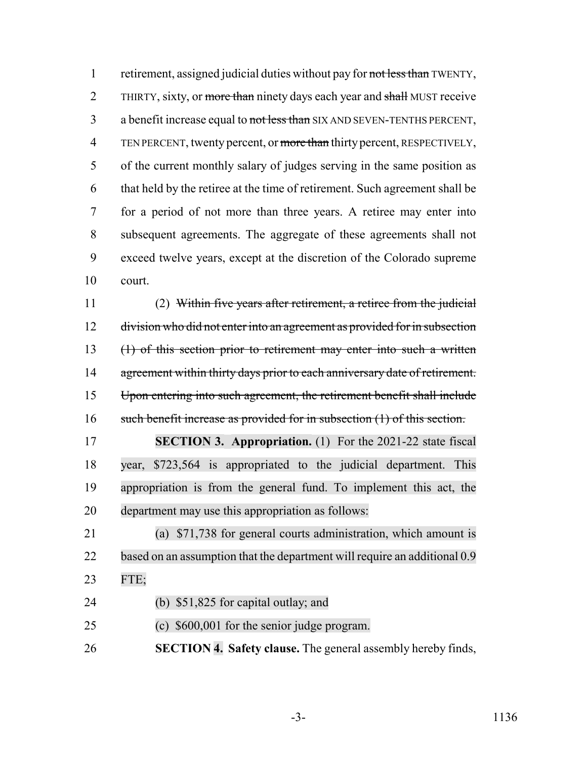1 retirement, assigned judicial duties without pay for not less than TWENTY, 2 THIRTY, sixty, or more than ninety days each year and shall MUST receive 3 a benefit increase equal to not less than SIX AND SEVEN-TENTHS PERCENT, 4 TEN PERCENT, twenty percent, or more than thirty percent, RESPECTIVELY, of the current monthly salary of judges serving in the same position as that held by the retiree at the time of retirement. Such agreement shall be for a period of not more than three years. A retiree may enter into subsequent agreements. The aggregate of these agreements shall not exceed twelve years, except at the discretion of the Colorado supreme court.

 (2) Within five years after retirement, a retiree from the judicial 12 division who did not enter into an agreement as provided for in subsection (1) of this section prior to retirement may enter into such a written 14 agreement within thirty days prior to each anniversary date of retirement. Upon entering into such agreement, the retirement benefit shall include 16 such benefit increase as provided for in subsection (1) of this section.

 **SECTION 3. Appropriation.** (1) For the 2021-22 state fiscal year, \$723,564 is appropriated to the judicial department. This appropriation is from the general fund. To implement this act, the department may use this appropriation as follows:

 (a) \$71,738 for general courts administration, which amount is 22 based on an assumption that the department will require an additional 0.9 FTE;

(b) \$51,825 for capital outlay; and

(c) \$600,001 for the senior judge program.

**SECTION 4. Safety clause.** The general assembly hereby finds,